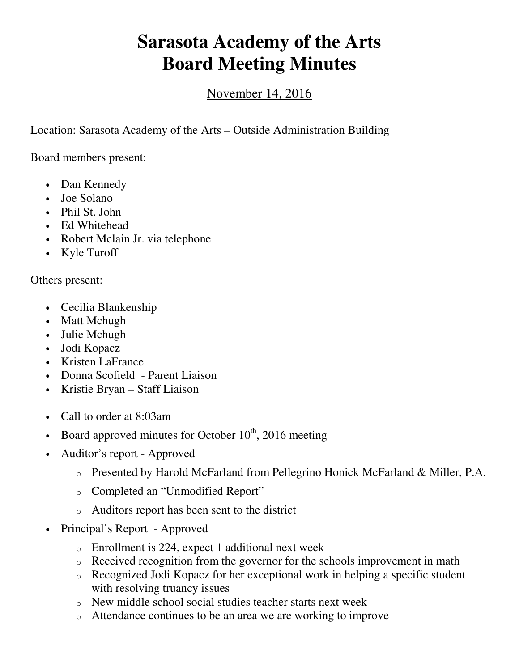## **Sarasota Academy of the Arts Board Meeting Minutes**

## November 14, 2016

Location: Sarasota Academy of the Arts – Outside Administration Building

Board members present:

- Dan Kennedy
- Joe Solano
- Phil St. John
- Ed Whitehead
- Robert Mclain Jr. via telephone
- Kyle Turoff

Others present:

- Cecilia Blankenship
- Matt Mchugh
- Julie Mchugh
- Jodi Kopacz
- Kristen LaFrance
- Donna Scofield Parent Liaison
- Kristie Bryan Staff Liaison
- Call to order at 8:03am
- Board approved minutes for October  $10^{th}$ , 2016 meeting
- Auditor's report Approved
	- o Presented by Harold McFarland from Pellegrino Honick McFarland & Miller, P.A.
	- o Completed an "Unmodified Report"
	- o Auditors report has been sent to the district
- Principal's Report Approved
	- o Enrollment is 224, expect 1 additional next week
	- o Received recognition from the governor for the schools improvement in math
	- o Recognized Jodi Kopacz for her exceptional work in helping a specific student with resolving truancy issues
	- o New middle school social studies teacher starts next week
	- o Attendance continues to be an area we are working to improve